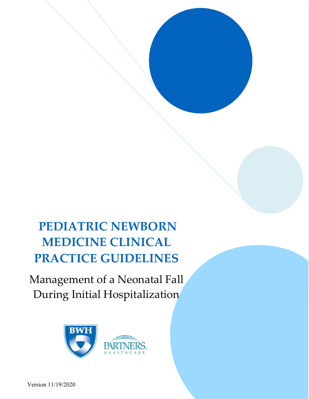# PEDIATRIC NEWBORN MEDICINE CLINICAL PRACTICE GUIDELINES

Management of a Neonatal Fall During Initial Hospitalization

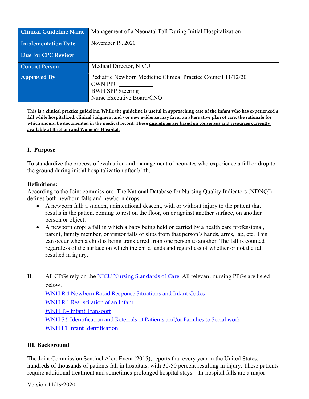| <b>Clinical Guideline Name</b> | Management of a Neonatal Fall During Initial Hospitalization                                                                     |
|--------------------------------|----------------------------------------------------------------------------------------------------------------------------------|
| <b>Implementation Date</b>     | November 19, 2020                                                                                                                |
| <b>Due for CPC Review</b>      |                                                                                                                                  |
| <b>Contact Person</b>          | Medical Director, NICU                                                                                                           |
| <b>Approved By</b>             | Pediatric Newborn Medicine Clinical Practice Council 11/12/20<br><b>CWN PPG</b><br>BWH SPP Steering<br>Nurse Executive Board/CNO |

This is a clinical practice guideline. While the guideline is useful in approaching care of the infant who has experienced a fall while hospitalized, clinical judgment and / or new evidence may favor an alternative plan of care, the rationale for which should be documented in the medical record. These guidelines are based on consensus and resources currently available at Brigham and Women's Hospital.

## I. Purpose

To standardize the process of evaluation and management of neonates who experience a fall or drop to the ground during initial hospitalization after birth.

#### Definitions:

According to the Joint commission: The National Database for Nursing Quality Indicators (NDNQI) defines both newborn falls and newborn drops.

- A newborn fall: a sudden, unintentional descent, with or without injury to the patient that results in the patient coming to rest on the floor, on or against another surface, on another person or object.
- A newborn drop: a fall in which a baby being held or carried by a health care professional, parent, family member, or visitor falls or slips from that person's hands, arms, lap, etc. This can occur when a child is being transferred from one person to another. The fall is counted regardless of the surface on which the child lands and regardless of whether or not the fall resulted in injury.
- II. All CPGs rely on the NICU Nursing Standards of Care. All relevant nursing PPGs are listed below.

WNH R.4 Newborn Rapid Response Situations and Infant Codes

WNH R.1 Resuscitation of an Infant

WNH T.4 Infant Transport

WNH S.5 Identification and Referrals of Patients and/or Families to Social work WNH I.1 Infant Identification

#### III. Background

The Joint Commission Sentinel Alert Event (2015), reports that every year in the United States, hundreds of thousands of patients fall in hospitals, with 30-50 percent resulting in injury. These patients require additional treatment and sometimes prolonged hospital stays. In-hospital falls are a major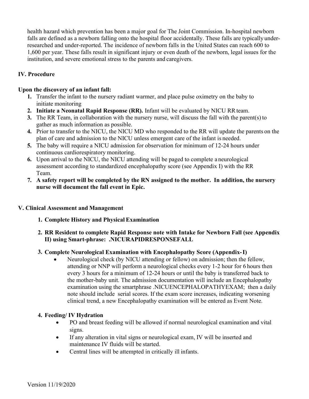health hazard which prevention has been a major goal for The Joint Commission. In-hospital newborn falls are defined as a newborn falling onto the hospital floor accidentally. These falls are typically underresearched and under-reported. The incidence of newborn falls in the United States can reach 600 to 1,600 per year. These falls result in significant injury or even death of the newborn, legal issues for the institution, and severe emotional stress to the parents and caregivers.

## IV. Procedure

#### Upon the discovery of an infant fall:

- 1. Transfer the infant to the nursery radiant warmer, and place pulse oximetry on the baby to initiate monitoring
- 2. Initiate a Neonatal Rapid Response (RR). Infant will be evaluated by NICU RR team.
- 3. The RR Team, in collaboration with the nursery nurse, will discuss the fall with the parent(s) to gather as much information as possible.
- 4. Prior to transfer to the NICU, the NICU MD who responded to the RR will update the parents on the plan of care and admission to the NICU unless emergent care of the infant is needed.
- 5. The baby will require a NICU admission for observation for minimum of 12-24 hours under continuous cardiorespiratory monitoring.
- 6. Upon arrival to the NICU, the NICU attending will be paged to complete a neurological assessment according to standardized encephalopathy score (see Appendix I) with the RR Team.
- 7. A safety report will be completed by the RN assigned to the mother. In addition, the nursery nurse will document the fall event in Epic.

#### V. Clinical Assessment and Management

1. Complete History and Physical Examination

#### 2. RR Resident to complete Rapid Response note with Intake for Newborn Fall (see Appendix II) using Smart-phrase: .NICURAPIDRESPONSEFALL

#### 3. Complete Neurological Examination with Encephalopathy Score (Appendix- I)

 Neurological check (by NICU attending or fellow) on admission; then the fellow, attending or NNP will perform a neurological checks every 1-2 hour for 6 hours then every 3 hours for a minimum of 12-24 hours or until the baby is transferred back to the mother-baby unit. The admission documentation will include an Encephalopathy examination using the smartphrase .NICUENCEPHALOPATHYEXAM; then a daily note should include serial scores. If the exam score increases, indicating worsening clinical trend, a new Encephalopathy examination will be entered as Event Note.

#### 4. Feeding/ IV Hydration

- PO and breast feeding will be allowed if normal neurological examination and vital signs.
- If any alteration in vital signs or neurological exam, IV will be inserted and maintenance IV fluids will be started.
- Central lines will be attempted in critically ill infants.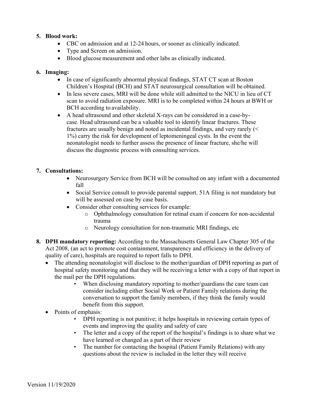## 5. Blood work:

- CBC on admission and at 12-24 hours, or sooner as clinically indicated.
- Type and Screen on admission.
- Blood glucose measurement and other labs as clinically indicated.

## 6. Imaging:

- In case of significantly abnormal physical findings, STAT CT scan at Boston Children's Hospital (BCH) and STAT neurosurgical consultation will be obtained.
- In less severe cases, MRI will be done while still admitted to the NICU in lieu of CT scan to avoid radiation exposure. MRI is to be completed within 24 hours at BWH or BCH according to availability.
- A head ultrasound and other skeletal X-rays can be considered in a case-bycase. Head ultrasound can be a valuable tool to identify linear fractures. These fractures are usually benign and noted as incidental findings, and very rarely (< 1%) carry the risk for development of leptomeningeal cysts. In the event the neonatologist needs to further assess the presence of linear fracture, she/he will discuss the diagnostic process with consulting services.

## 7. Consultations:

- Neurosurgery Service from BCH will be consulted on any infant with a documented fall
- Social Service consult to provide parental support. 51A filing is not mandatory but will be assessed on case by case basis.
- Consider other consulting services for example:
	- o Ophthalmology consultation for retinal exam if concern for non-accidental trauma
	- o Neurology consultation for non-traumatic MRI findings, etc
- 8. DPH mandatory reporting: According to the Massachusetts General Law Chapter 305 of the Act 2008, (an act to promote cost containment, transparency and efficiency in the delivery of quality of care), hospitals are required to report falls to DPH.
	- The attending neonatologist will disclose to the mother/guardian of DPH reporting as part of hospital safety monitoring and that they will be receiving a letter with a copy of that report in the mail per the DPH regulations.
		- When disclosing mandatory reporting to mother/guardians the care team can consider including either Social Work or Patient Family relations during the conversation to support the family members, if they think the family would benefit from this support.
	- Points of emphasis:
		- DPH reporting is not punitive; it helps hospitals in reviewing certain types of events and improving the quality and safety of care
		- The letter and a copy of the report of the hospital's findings is to share what we have learned or changed as a part of their review
		- The number for contacting the hospital (Patient Family Relations) with any questions about the review is included in the letter they will receive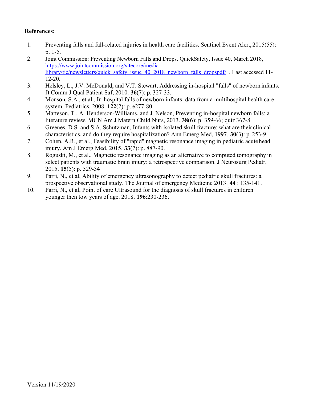## References:

- 1. Preventing falls and fall-related injuries in health care facilities. Sentinel Event Alert, 2015(55): p. 1-5.
- 2. Joint Commission: Preventing Newborn Falls and Drops. QuickSafety, Issue 40, March 2018, https://www.jointcommission.org/sitecore/medialibrary/tjc/newsletters/quick\_safety\_issue\_40\_2018\_newborn\_falls\_dropspdf/ . Last accessed 11-12-20.
- 3. Helsley, L., J.V. McDonald, and V.T. Stewart, Addressing in-hospital "falls" of newborn infants. Jt Comm J Qual Patient Saf, 2010. 36(7): p. 327-33.
- 4. Monson, S.A., et al., In-hospital falls of newborn infants: data from a multihospital health care system. Pediatrics, 2008. 122(2): p. e277-80.
- 5. Matteson, T., A. Henderson-Williams, and J. Nelson, Preventing in-hospital newborn falls: a literature review. MCN Am J Matern Child Nurs, 2013. 38(6): p. 359-66; quiz 367-8.
- 6. Greenes, D.S. and S.A. Schutzman, Infants with isolated skull fracture: what are their clinical characteristics, and do they require hospitalization? Ann Emerg Med, 1997. 30(3): p. 253-9.
- 7. Cohen, A.R., et al., Feasibility of "rapid" magnetic resonance imaging in pediatric acute head injury. Am J Emerg Med, 2015. 33(7): p. 887-90.
- 8. Roguski, M., et al., Magnetic resonance imaging as an alternative to computed tomography in select patients with traumatic brain injury: a retrospective comparison. J Neurosurg Pediatr, 2015. 15(5): p. 529-34
- 9. Parri, N., et al, Ability of emergency ultrasonography to detect pediatric skull fractures: a prospective observational study. The Journal of emergency Medicine 2013. 44 : 135-141.
- 10. Parri, N., et al, Point of care Ultrasound for the diagnosis of skull fractures in children younger then tow years of age. 2018. 196:230-236.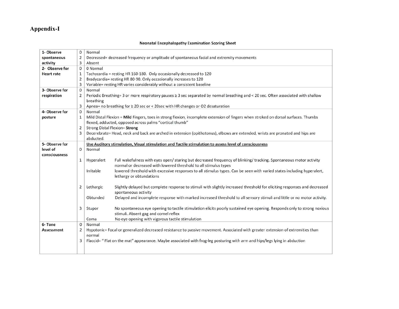## Appendix-I

#### **Neonatal Encephalopathy Examination Scoring Sheet**

| 1- Observe        | 0              | Normal                                                                                    |                                                                                                                                     |
|-------------------|----------------|-------------------------------------------------------------------------------------------|-------------------------------------------------------------------------------------------------------------------------------------|
| spontaneous       | $\overline{2}$ | Decreased= decreased frequency or amplitude of spontaneous facial and extremity movements |                                                                                                                                     |
| activity          | 3              | Absent                                                                                    |                                                                                                                                     |
| 2- Observe for    | $\mathbf 0$    | 0 Normal                                                                                  |                                                                                                                                     |
| <b>Heart rate</b> | $\mathbf{1}$   |                                                                                           | Tachycardia = resting HR 160-180. Only occasionally decreased to 120                                                                |
|                   | $\overline{2}$ |                                                                                           | Bradycardia= resting HR 80-90. Only occasionally increases to 120                                                                   |
|                   | 3              |                                                                                           | Variable= resting HR varies considerably without a consistent baseline                                                              |
| 3- Observe for    | $\Omega$       | Normal                                                                                    |                                                                                                                                     |
| respiration       | $\overline{2}$ |                                                                                           | Periodic Breathing= 3 or more respiratory pauses ≥ 3 sec separated by normal breathing and < 20 sec. Often associated with shallow  |
|                   |                | breathing                                                                                 |                                                                                                                                     |
|                   | 3              |                                                                                           | Apnea= no breathing for $\geq 20$ sec or < 20sec with HR changes or O2 desaturation                                                 |
| 4- Observe for    | $\Omega$       | Normal                                                                                    |                                                                                                                                     |
| posture           | 1              |                                                                                           | Mild Distal Flexion = Mild Fingers, toes in strong flexion, incomplete extension of fingers when stroked on dorsal surfaces. Thumbs |
|                   |                |                                                                                           | flexed, adducted, opposed across palms "cortical thumb"                                                                             |
|                   | $\overline{2}$ | <b>Strong Distal Flexion= Strong</b>                                                      |                                                                                                                                     |
|                   | 3              |                                                                                           | Decerebrate= Head, neck and back are arched in extension (opithotonus), elbows are extended, wrists are pronated and hips are       |
|                   |                | abducted.                                                                                 |                                                                                                                                     |
| 5- Observe for    |                |                                                                                           | Use Auditory stimulation, Visual stimulation and Tactile stimulation to assess level of consciousness                               |
| level of          | $\Omega$       | Normal                                                                                    |                                                                                                                                     |
| consciousness     |                |                                                                                           |                                                                                                                                     |
|                   | $\mathbf{1}$   | Hyperalert                                                                                | Full wakefulness with eyes open/ staring but decreased frequency of blinking/tracking. Spontaneous motor activity                   |
|                   |                |                                                                                           | normal or decreased with lowered threshold to all stimulus types                                                                    |
|                   |                | Irritable                                                                                 | lowered threshold with excessive responses to all stimulus types. Can be seen with varied states including hyperalert,              |
|                   |                |                                                                                           | lethargy or obtundations                                                                                                            |
|                   |                |                                                                                           |                                                                                                                                     |
|                   | $\overline{2}$ | Lethargic                                                                                 | Slightly delayed but complete response to stimuli with slightly increased threshold for eliciting responses and decreased           |
|                   |                |                                                                                           | spontaneous activity                                                                                                                |
|                   |                | Obtunded                                                                                  | Delayed and incomplete response with marked increased threshold to all sensory stimuli and little or no motor activity.             |
|                   |                |                                                                                           |                                                                                                                                     |
|                   | 3              | Stupor                                                                                    | No spontaneous eye opening to tactile stimulation elicits poorly sustained eye opening. Responds only to strong noxious             |
|                   |                |                                                                                           | stimuli. Absent gag and cornel reflex                                                                                               |
|                   |                | Coma                                                                                      | No eye opening with vigorous tactile stimulation                                                                                    |
| 6- Tone           | $\circ$        | Normal                                                                                    |                                                                                                                                     |
| <b>Assessment</b> | $\overline{2}$ |                                                                                           | Hypotonic= Focal or generalized decreased resistance to passive movement. Associated with greater extension of extremities than     |
|                   |                | normal                                                                                    |                                                                                                                                     |
|                   | 3              |                                                                                           | Flaccid= "Flat on the mat" appearance. Maybe associated with frog-leg posturing with arm and hips/legs lying in abduction           |
|                   |                |                                                                                           |                                                                                                                                     |
|                   |                |                                                                                           |                                                                                                                                     |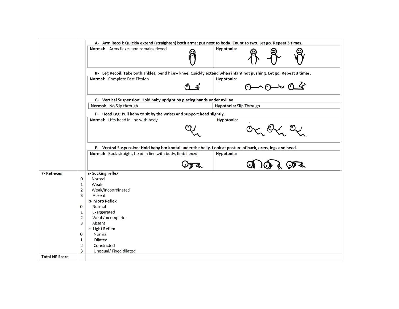|            |                                  | A- Arm Recoil: Quickly extend (straighten) both arms; put next to body. Count to two. Let go. Repeat 3 times.                                                                          |
|------------|----------------------------------|----------------------------------------------------------------------------------------------------------------------------------------------------------------------------------------|
|            |                                  | Normal: Arms flexes and remains flexed<br>Hypotonia:                                                                                                                                   |
|            |                                  | B- Leg Recoil: Take both ankles, bend hips+ knee. Quickly extend when infant not pushing. Let go. Repeat 3 times.                                                                      |
|            |                                  | Normal: Complete Fast Flexion<br>Hypotonia:<br>$0-0-0$                                                                                                                                 |
|            |                                  | C- Vertical Suspension: Hold baby upright by placing hands under axillae                                                                                                               |
|            |                                  | Hypotonia: Slip Through<br>Normal: No Slip through                                                                                                                                     |
|            |                                  | D- Head Lag: Pull baby to sit by the wrists and support head slightly.<br>Normal: Lifts head in line with body<br>Hypotonia:                                                           |
|            |                                  |                                                                                                                                                                                        |
|            |                                  | E- Ventral Suspension: Hold baby horizontal under the belly. Look at posture of back, arms, legs and head.<br>Normal: Back straight, head in line with body, limb flexed<br>Hypotonia: |
|            |                                  |                                                                                                                                                                                        |
| 7-Reflexes |                                  | a-Sucking reflex                                                                                                                                                                       |
|            | $\mathbf{0}$                     | Normal                                                                                                                                                                                 |
|            | $\mathbf 1$                      | Weak                                                                                                                                                                                   |
|            | $\overline{2}$<br>$\overline{3}$ | Weak/Incoordinated                                                                                                                                                                     |
|            |                                  | Absent<br>b-Moro Reflex                                                                                                                                                                |
|            | 0                                | Normal                                                                                                                                                                                 |
|            | $\mathbf{1}$                     | Exaggerated                                                                                                                                                                            |
|            | $\overline{2}$                   | Weak/Incomplete                                                                                                                                                                        |
|            | $\overline{3}$                   | Absent                                                                                                                                                                                 |
|            |                                  | c- Light Reflex                                                                                                                                                                        |
|            | 0                                | Normal                                                                                                                                                                                 |
|            | $\mathbf{1}$                     | Dilated                                                                                                                                                                                |
|            |                                  |                                                                                                                                                                                        |
|            | $\overline{2}$                   | Constricted                                                                                                                                                                            |
|            | 3                                | Unequal/ Fixed dilated                                                                                                                                                                 |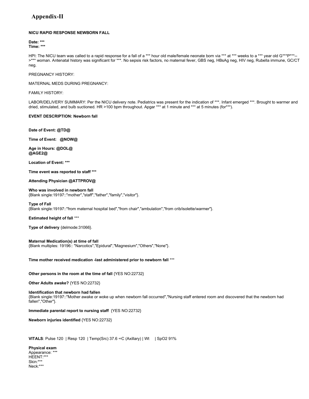## Appendix-II

#### NICU RAPID RESPONSE NEWBORN FALL

Date: \*\*\* Time: \*\*\*

HPI: The NICU team was called to a rapid response for a fall of a \*\*\* hour old male/female neonate born via \*\*\* at \*\*\* weeks to a \*\*\* year old G\*\*\*P\*\*\*-->\*\*\* woman. Antenatal history was significant for \*\*\*. No sepsis risk factors, no maternal fever, GBS neg, HBsAg neg, HIV neg, Rubella immune, GC/CT neg.

PREGNANCY HISTORY:

MATERNAL MEDS DURING PREGNANCY:

FAMILY HISTORY:

LABOR/DELIVERY SUMMARY: Per the NICU delivery note. Pediatrics was present for the indication of \*\*\*. Infant emerged \*\*\*. Brought to warmer and dried, stimulated, and bulb suctioned. HR >100 bpm throughout. Apgar \*\*\* at 1 minute and \*\*\* at 5 minutes (for\*\*\*).

#### EVENT DESCRIPTION: Newborn fall

Date of Event: @TD@

Time of Event: @NOW@

Age in Hours: @DOL@ @AGE2@

Location of Event: \*\*\*

Time event was reported to staff \*\*\*

Attending Physician @ATTPROV@

Who was involved in newborn fall {Blank single:19197::"mother","staff","father","family","visitor"}.

Type of Fall {Blank single:19197::"from maternal hospital bed","from chair","ambulation","from crib/isolette/warmer"}.

Estimated height of fall \*\*\*

Type of delivery {delmode:31066}.

Maternal Medication(s) at time of fall

{Blank multiples: 19196:: "Narcotics","Epidural","Magnesium","Others","None"}.

Time mother received medication -last administered prior to newborn fall \*\*\*

Other persons in the room at the time of fall {YES NO:22732}

Other Adults awake? {YES NO:22732}

Identification that newborn had fallen

{Blank single:19197::"Mother awake or woke up when newborn fall occurred","Nursing staff entered room and discovered that the newborn had fallen","Other"}.

Immediate parental report to nursing staff {YES NO:22732}

Newborn injuries identified {YES NO:22732}

VITALS: Pulse 120 | Resp 120 | Temp(Src) 37.6 ∞C (Axillary) | Wt | SpO2 91%

Physical exam Appearance: \*\*\* HEENT:\*\*\* Skin:\*\*\* Neck:\*\*\*